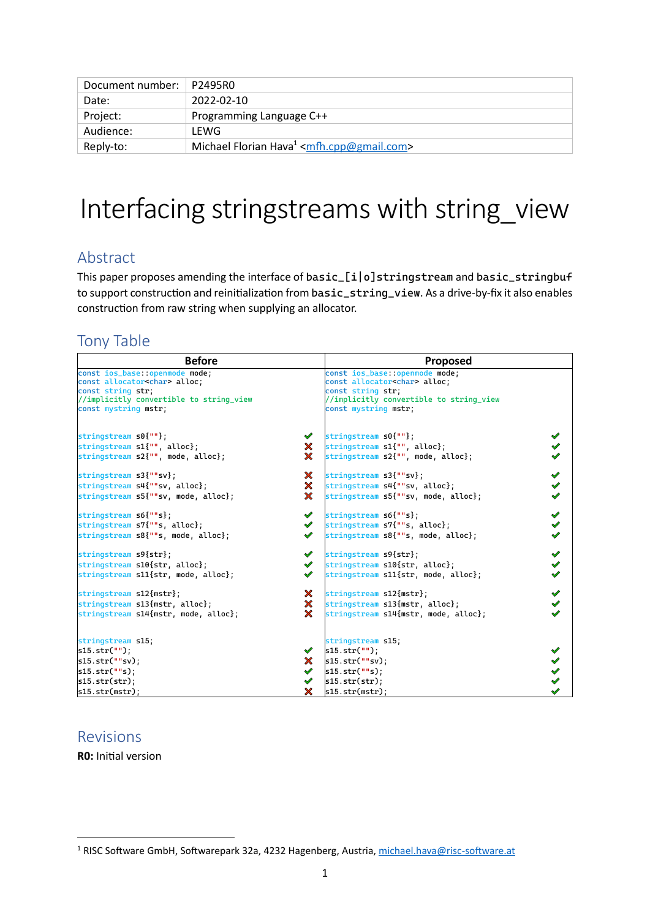| Document number:   P2495R0 |                                                                  |
|----------------------------|------------------------------------------------------------------|
| Date:                      | 2022-02-10                                                       |
| Project:                   | Programming Language C++                                         |
| Audience:                  | LEWG                                                             |
| Reply-to:                  | Michael Florian Hava $1$ <mfh.cpp@gmail.com></mfh.cpp@gmail.com> |

# Interfacing stringstreams with string\_view

# Abstract

This paper proposes amending the interface of basic\_[i|o]stringstream and basic\_stringbuf to support construction and reinitialization from basic\_string\_view. As a drive-by-fix it also enables construction from raw string when supplying an allocator.

# Tony Table

| <b>Before</b>                                                                                |                                                        | <b>Proposed</b>                                                                              |                                              |
|----------------------------------------------------------------------------------------------|--------------------------------------------------------|----------------------------------------------------------------------------------------------|----------------------------------------------|
| const ios_base::openmode mode;<br>const allocator <char> alloc;<br/>const string str;</char> |                                                        | const ios_base::openmode mode;<br>const allocator <char> alloc;<br/>const string str;</char> |                                              |
| //implicitly convertible to string_view<br>const mystring mstr;                              |                                                        | //implicitly convertible to string_view<br>const mystring mstr;                              |                                              |
| stringstream s0{""};                                                                         | $\mathscr{P}$                                          | stringstream s0{""};                                                                         | $\checkmark$                                 |
| stringstream s1{"", alloc};<br>stringstream s2{"", mode, alloc};                             | $\boldsymbol{\mathsf{x}}$<br>$\boldsymbol{\mathsf{X}}$ | stringstream s1{"", alloc};<br>stringstream s2{"", mode, alloc};                             | $\blacktriangledown$<br>$\blacktriangledown$ |
| stringstream s3{""sv};                                                                       | $\boldsymbol{\mathsf{x}}$                              | stringstream s3{""sv};                                                                       | $\checkmark$                                 |
| stringstream s4{""sv, alloc};<br>stringstream s5{""sv, mode, alloc};                         | $\boldsymbol{\mathsf{x}}$<br>$\boldsymbol{\mathsf{x}}$ | stringstream s4{""sv, alloc};<br>stringstream s5{""sv, mode, alloc};                         | $\checkmark$<br>$\checkmark$                 |
| stringstream s6{""s};                                                                        |                                                        | $\checkmark$ stringstream s6{""s};                                                           | $\blacktriangledown$                         |
| stringstream s7{""s, alloc};<br>stringstream s8{""s, mode, alloc};                           | $\mathscr{S}$<br>$\mathscr{P}$                         | stringstream s7{""s, alloc};<br>stringstream $s8$ {""s, mode, alloc};                        | $\checkmark$<br>$\checkmark$                 |
| stringstream s9{str};                                                                        | $\checkmark$                                           | stringstream s9{str};                                                                        | $\checkmark$                                 |
| stringstream s10{str, alloc};<br>stringstream s11{str, mode, alloc};                         | $\mathscr{S}$<br>$\mathscr{S}$                         | stringstream s10{str, alloc};<br>stringstream s11{str, mode, alloc};                         | $\blacktriangledown$<br>$\checkmark$         |
| stringstream s12{mstr};                                                                      | $\boldsymbol{\varkappa}$                               | stringstream s12{mstr};                                                                      | $\checkmark$                                 |
| stringstream s13{mstr, alloc};<br>stringstream s14{mstr, mode, alloc};                       | $\boldsymbol{\mathsf{X}}$<br>$\boldsymbol{\times}$     | stringstream s13{mstr, alloc};<br>stringstream s14{mstr, mode, alloc};                       | $\checkmark$<br>$\mathscr{S}$                |
| stringstream s15;                                                                            |                                                        | stringstream s15;                                                                            |                                              |
| $s15. str("")$ ;                                                                             | $\mathscr{P}$                                          | s15. str("")                                                                                 | $\checkmark$                                 |
| s15.str(""sv):                                                                               | $\boldsymbol{\varkappa}$                               | s15.str("sv):                                                                                | $\checkmark$                                 |
| s15. str("s);                                                                                |                                                        | s15.str("s):                                                                                 | $\blacktriangledown$                         |
| s15.str(str);                                                                                | $\checkmark$                                           | s15.str(str);                                                                                | $\checkmark$                                 |
| s15.str(mstr);                                                                               | $\boldsymbol{\mathsf{x}}$ .                            | s15.str(mstr);                                                                               |                                              |

# Revisions

**R0:** Initial version

<sup>&</sup>lt;sup>1</sup> RISC Software GmbH, Softwarepark 32a, 4232 Hagenberg, Austria,<michael.hava@risc-software.at>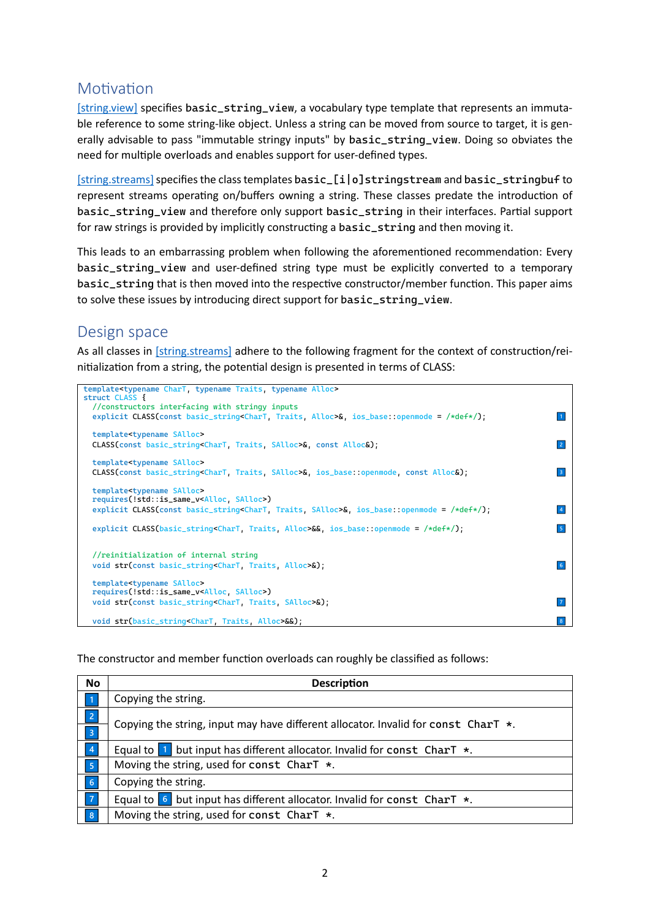# **Motivation**

[\[string.view\]](http://eel.is/c%2B%2Bdraft/string.view) specifies basic\_string\_view, a vocabulary type template that represents an immutable reference to some string-like object. Unless a string can be moved from source to target, it is generally advisable to pass "immutable stringy inputs" by basic\_string\_view. Doing so obviates the need for multiple overloads and enables support for user-defined types.

[string.streams] specifies the class templates basic\_[i|o]stringstream and basic\_stringbuf to represent streams operating on/buffers owning a string. These classes predate the introduction of basic\_string\_view and therefore only support basic\_string in their interfaces. Partial support for raw strings is provided by implicitly constructing a basic\_string and then moving it.

This leads to an embarrassing problem when following the aforementioned recommendation: Every basic\_string\_view and user-defined string type must be explicitly converted to a temporary basic\_string that is then moved into the respective constructor/member function. This paper aims to solve these issues by introducing direct support for basic\_string\_view.

# Design space

As all classes in [\[string.streams\]](http://eel.is/c%2B%2Bdraft/string.streams) adhere to the following fragment for the context of construction/reinitialization from a string, the potential design is presented in terms of CLASS:

| template <typename alloc="" chart,="" traits,="" typename=""></typename>                                                   |                         |
|----------------------------------------------------------------------------------------------------------------------------|-------------------------|
| struct CLASS {                                                                                                             |                         |
| //constructors interfacing with stringy inputs                                                                             |                         |
| explicit CLASS(const basic_string <chart, alloc="" traits,="">&amp;, ios_base::openmode = /*def*/);</chart,>               |                         |
|                                                                                                                            |                         |
| template <typename salloc=""></typename>                                                                                   |                         |
| CLASS(const basic_string <chart, salloc="" traits,="">&amp;, const Alloc&amp;);</chart,>                                   | 2                       |
|                                                                                                                            |                         |
| template <typename salloc=""></typename>                                                                                   |                         |
| CLASS(const basic_string <chart, salloc="" traits,="">&amp;, ios_base::openmode, const Alloc&amp;);</chart,>               | $\overline{\mathbf{3}}$ |
|                                                                                                                            |                         |
| template <typename salloc=""></typename>                                                                                   |                         |
| requires(!std::is_same_v <alloc, salloc="">)</alloc,>                                                                      |                         |
| explicit CLASS(const basic_string <chart, salloc="" traits,="">&amp;, ios_base::openmode = <math>/*def*/</math>);</chart,> |                         |
|                                                                                                                            |                         |
| explicit CLASS(basic_string <chart, alloc="" traits,="">&amp;&amp;, ios_base::openmode = <math>/*def*/</math>);</chart,>   |                         |
|                                                                                                                            |                         |
| //reinitialization of internal string                                                                                      |                         |
| void str(const basic_string <chart, alloc="" traits,="">&amp;);</chart,>                                                   | 6                       |
|                                                                                                                            |                         |
| template <typename salloc=""></typename>                                                                                   |                         |
| requires(!std::is_same_v <alloc, salloc="">)</alloc,>                                                                      |                         |
| void str(const basic_string <chart, salloc="" traits,="">&amp;);</chart,>                                                  |                         |
|                                                                                                                            |                         |
| void str(basic_string <chart, alloc="" traits,="">&amp;&amp;);</chart,>                                                    |                         |

The constructor and member function overloads can roughly be classified as follows:

| <b>No</b>       | <b>Description</b>                                                                                                   |  |
|-----------------|----------------------------------------------------------------------------------------------------------------------|--|
|                 | Copying the string.                                                                                                  |  |
| 2 <br>$\vert$ 3 | Copying the string, input may have different allocator. Invalid for const $CharT *$ .                                |  |
| $\overline{4}$  | Equal to $\blacksquare$ but input has different allocator. Invalid for const CharT $\star$ .                         |  |
| 5 <sub>5</sub>  | Moving the string, used for const CharT $*$ .                                                                        |  |
| 6               | Copying the string.                                                                                                  |  |
| $\overline{7}$  | Equal to $\begin{bmatrix} 6 \\ 6 \end{bmatrix}$ but input has different allocator. Invalid for const CharT $\star$ . |  |
| 8               | Moving the string, used for const CharT *.                                                                           |  |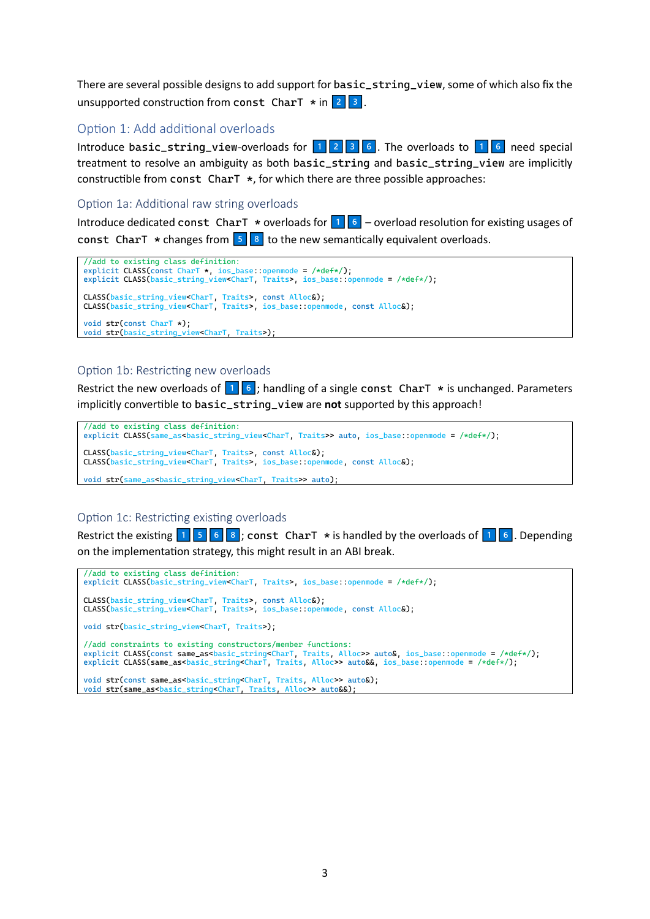There are several possible designs to add support for basic\_string\_view, some of which also fix the unsupported construction from const CharT \* in .

### Option 1: Add additional overloads

Introduce basic\_string\_view-overloads for . The overloads to need special treatment to resolve an ambiguity as both basic\_string and basic\_string\_view are implicitly constructible from const CharT \*, for which there are three possible approaches:

#### Option 1a: Additional raw string overloads

Introduce dedicated const CharT \* overloads for – overload resolution for existing usages of const CharT  $*$  changes from  $\begin{array}{|c|c|} 5 & 8 & \text{to the new semantically equivalent overloads.} \end{array}$ 

```
//add to existing class definition:
explicit CLASS(const CharT *, ios_base::openmode = /*def*/);
explicit CLASS(basic_string_view<CharT, Traits>, ios_base::openmode = /*def*/);
CLASS(basic_string_view<CharT, Traits>, const Alloc&);
CLASS(basic_string_view<CharT, Traits>, ios_base::openmode, const Alloc&);
void str(const CharT *);
void str(basic_string_view<CharT, Traits>);
```
#### Option 1b: Restricting new overloads

Restrict the new overloads of ; handling of a single const CharT \* is unchanged. Parameters implicitly convertible to basic\_string\_view are **not** supported by this approach!

```
//add to existing class definition:
explicit CLASS(same_as<br/>basic_string_view<CharT, Traits>> auto, ios_base::openmode = /*def*/);
CLASS(basic_string_view<CharT, Traits>, const Alloc&);
CLASS(basic_string_view<CharT, Traits>, ios_base::openmode, const Alloc&);
```
void str(same\_as<br/>basic\_string\_view<CharT, Traits>> auto);

#### Option 1c: Restricting existing overloads

Restrict the existing ; const CharT \* is handled by the overloads of . Depending on the implementation strategy, this might result in an ABI break.

```
//add to existing class definition:
explicit CLASS(basic_string_view<CharT, Traits>, ios_base::openmode = /*def*/);
CLASS(basic_string_view<CharT, Traits>, const Alloc&);
CLASS(basic_string_view<CharT, Traits>, ios_base::openmode, const Alloc&);
void str(basic_string_view<CharT, Traits>);
//add constraints to existing constructors/member functions:
explicit CLASS(const same_as<basic_string<CharT, Traits, Alloc>> auto&, ios_base::openmode = /*def*/);
explicit CLASS(same_as<basic_string<CharT, Traits, Alloc>> auto&&, ios_base::openmode = /*def*/);
void str(const same_as<br/>basic_string<CharT, Traits, Alloc>> auto&);
void str(same assbasic stringsCharT, Traits, Alloc>> auto&&)
```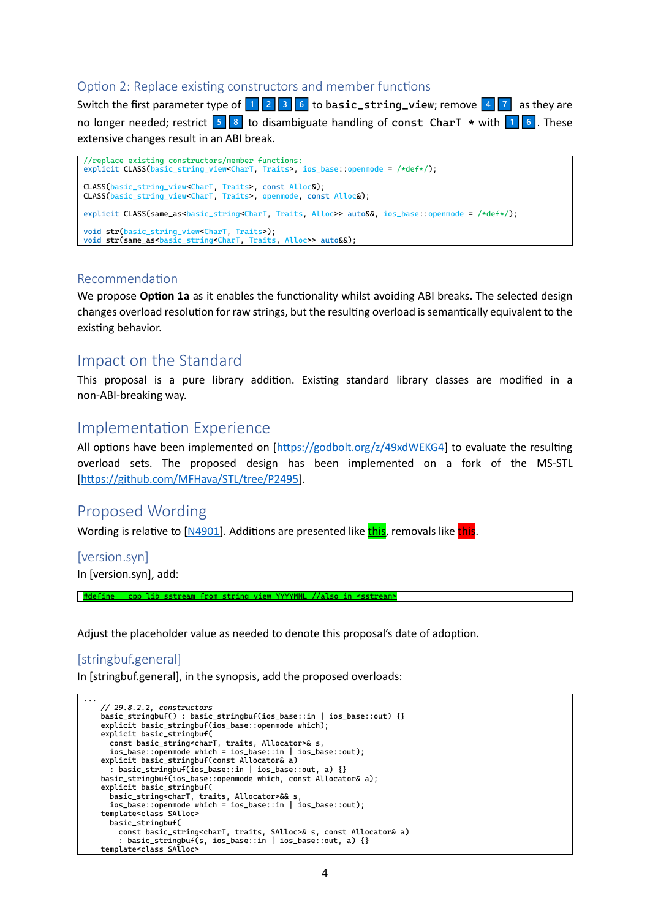#### Option 2: Replace existing constructors and member functions

Switch the first parameter type of to basic\_string\_view; remove as they are no longer needed; restrict to disambiguate handling of const CharT \* with . These extensive changes result in an ABI break.

```
//replace existing constructors/member functions:
explicit CLASS(basic_string_view<CharT, Traits>, ios_base::openmode = /*def*/);
CLASS(basic_string_view<CharT, Traits>, const Alloc&);
CLASS(basic_string_view<CharT, Traits>, openmode, const Alloc&);
explicit CLASS(same_as<br/>basic_string<CharT, Traits, Alloc>> auto&&, ios_base::openmode = /*def*/);
void str(basic_string_view<CharT, Traits>);
void str(same_as<br/>basic_string<CharT, Traits, Alloc>> auto&&);
```
#### Recommendation

We propose **Option 1a** as it enables the functionality whilst avoiding ABI breaks. The selected design changes overload resolution for raw strings, but the resulting overload is semantically equivalent to the existing behavior.

## Impact on the Standard

This proposal is a pure library addition. Existing standard library classes are modified in a non-ABI-breaking way.

## Implementation Experience

All options have been implemented on [\[https://godbolt.org/z/49xdWEKG4\]](https://godbolt.org/z/49xdWEKG4) to evaluate the resulting overload sets. The proposed design has been implemented on a fork of the MS-STL [\[https://github.com/MFHava/STL/tree/P2495\]](https://github.com/MFHava/STL/tree/P2495).

## Proposed Wording

Wording is relative to  $[M4901]$ . Additions are presented like this, removals like this.

[version.syn]

In [version.syn], add:

#define \_\_cpp\_lib\_sstream\_from\_string\_view YYYYMML //also in <sstream>

Adjust the placeholder value as needed to denote this proposal's date of adoption.

#### [stringbuf.general]

In [stringbuf.general], in the synopsis, add the proposed overloads:

```
...
   // 29.8.2.2, constructors
   basic_stringbuf() : basic_stringbuf(ios_base::in | ios_base::out) {}
   explicit basic_stringbuf(ios_base::openmode which);
   explicit basic_stringbuf(
    const basic_string<charT, traits, Allocator>& s,
    ios_base::openmode which = ios_base::in | ios_base::out);
   explicit basic_stringbuf(const Allocator& a)
     : basic_stringbuf(ios_base::in |ios_base::out, a) {}
   basic_stringbuf(ios_base::openmode which, const Allocator& a);
   explicit basic_stringbuf(
    basic_string<charT, traits, Allocator>&& s,
    ios_base::openmode which = ios_base::in | ios_base::out);
   template<class SAlloc>
      basic_stringbuf(
        const basic_string<charT, traits, SAlloc>& s, const Allocator& a)
         : basic_stringbuf(s, ios_base::in | ios_base::out, a) {}
   template<class SAlloc>
```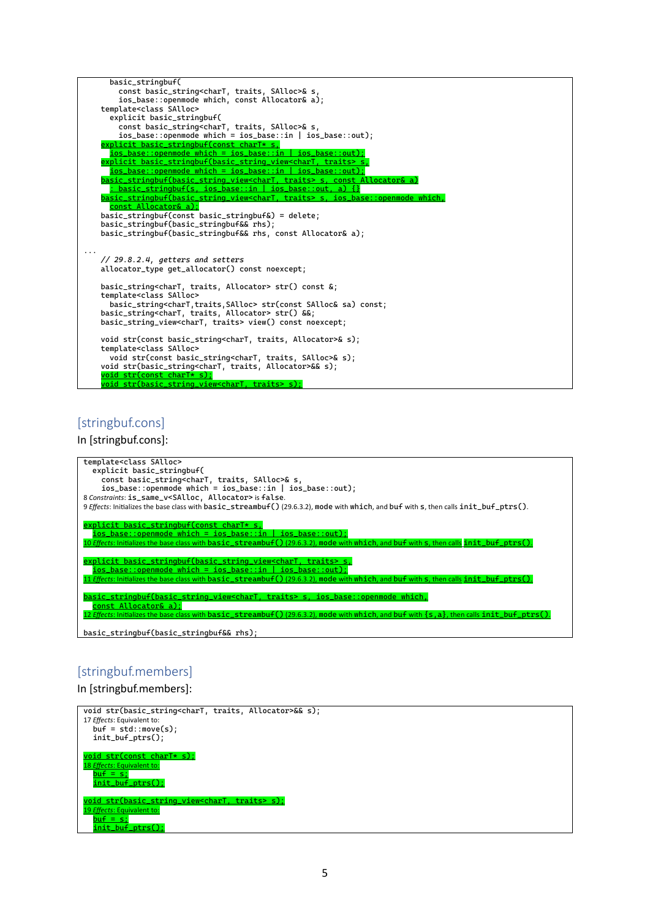| basic_stringbuf(                                                                           |
|--------------------------------------------------------------------------------------------|
| const basic_string <chart, salloc="" traits,="">&amp; s,</chart,>                          |
| ios_base::openmode which, const Allocator& a);                                             |
| template <class salloc=""></class>                                                         |
| explicit basic_stringbuf(                                                                  |
| const basic_string <chart, salloc="" traits,="">&amp; s,</chart,>                          |
| $ios\_base::openmode which = iso\_base::in   iso\_base::out);$                             |
| explicit basic_stringbuf(const_charT*_s,                                                   |
|                                                                                            |
| explicit basic_stringbuf(basic_string_view <chart, traits=""> s,</chart,>                  |
| ios base::openmode which = ios base::in   ios base::out):                                  |
| basic_stringbuf(basic_string_view <chart, traits=""> s, const Allocator&amp; a)</chart,>   |
| : basic_stringbuf(s, ios_base::in   ios_base::out, a) {}                                   |
| basic_stringbuf(basic_string_view <chart, traits=""> s, ios_base::openmode which,</chart,> |
| const Allocator& a);                                                                       |
| $basic_stringbuf$ (const basic_stringbuf&) = delete;                                       |
| basic_stringbuf(basic_stringbuf&& rhs);                                                    |
| basic_stringbuf(basic_stringbuf&& rhs, const Allocator& a);                                |
|                                                                                            |
|                                                                                            |
| $\frac{1}{29.8.2.4}$ , getters and setters                                                 |
| allocator_type qet_allocator() const noexcept;                                             |
|                                                                                            |
| basic_string <chart, allocator="" traits,=""> str() const &amp;;</chart,>                  |
| template <class salloc=""></class>                                                         |
| basic_string <chart,traits,salloc> str(const SAlloc&amp; sa) const;</chart,traits,salloc>  |
| basic_string <chart, allocator="" traits,=""> str() &amp;&amp;;</chart,>                   |
| basic_string_view <chart, traits=""> view() const noexcept;</chart,>                       |
|                                                                                            |
| void str(const basic_string <chart, allocator="" traits,="">&amp; s);</chart,>             |
| template <class salloc=""></class>                                                         |
| void str(const basic_string <chart, salloc="" traits,="">&amp; s);</chart,>                |
| void str(basic_string <chart, allocator="" traits,="">&amp;&amp; s);</chart,>              |
| void str(const charT* s):                                                                  |
| void str(basic_string_view <chart, traits=""> s);</chart,>                                 |

# [stringbuf.cons]

#### In [stringbuf.cons]:

| template <class salloc=""></class>                                                                                                            |
|-----------------------------------------------------------------------------------------------------------------------------------------------|
| explicit basic_stringbuf(                                                                                                                     |
| const basic_string <chart, salloc="" traits,="">&amp; s,</chart,>                                                                             |
|                                                                                                                                               |
| $ios\_base$ ::openmode which = ios_base::in   ios_base::out);                                                                                 |
| 8 Constraints: is_same_v <salloc, allocator=""> is false.</salloc,>                                                                           |
| 9 Effects: Initializes the base class with basic_streambuf()(29.6.3.2), mode with which, and buf with s, then calls init_buf_ptrs().          |
|                                                                                                                                               |
|                                                                                                                                               |
| explicit basic_stringbuf(const charT* s,                                                                                                      |
| $ios_base::openmode which = jos_base::in   ios_base::out};$                                                                                   |
| 10 Effects: Initializes the base class with basic_streambuf() (29.6.3.2), mode with which, and buf with s, then calls init_buf_ptrs().        |
|                                                                                                                                               |
|                                                                                                                                               |
| explicit basic_stringbuf(basic_string_view <chart, traits=""> s,</chart,>                                                                     |
| $ios_base::openmode which = jos_base::in$   ios_base::00                                                                                      |
| 11 <i>Effects</i> : Initializes the base class with basic_streambuf()(29.6.3.2), mode with which, and buf with s, then calls init buf ptrs(). |
|                                                                                                                                               |
|                                                                                                                                               |
| basic_stringbuf(basic_string_view <chart, traits=""> s, ios_base::openmode which,</chart,>                                                    |
| const_Allocator& a);                                                                                                                          |
| 12 Effects: Initializes the base class with basic_streambuf()(29.6.3.2), mode with which, and buf with {s, a}, then calls init_buf_ptrs()     |
|                                                                                                                                               |
|                                                                                                                                               |
| basic_stringbuf(basic_stringbuf&& rhs);                                                                                                       |

# [stringbuf.members]

In [stringbuf.members]:

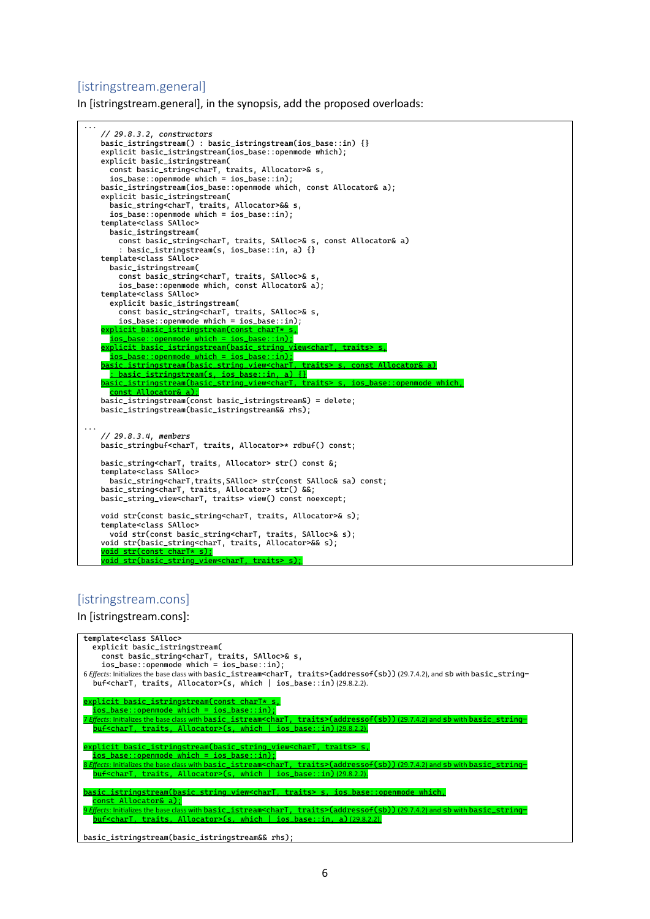#### [istringstream.general]

In [istringstream.general], in the synopsis, add the proposed overloads:

... *// 29.8.3.2, constructors* basic\_istringstream() : basic\_istringstream(ios\_base::in) {} explicit basic\_istringstream(ios\_base::openmode which); explicit basic\_istringstream( const basic\_string<charT, traits, Allocator>& s,  $ios\_base::openmode$  which =  $ios\_base::in$ ; basic\_istringstream(ios\_base::openmode which, const Allocator& a); explicit basic\_istringstream( basic\_string<charT, traits, Allocator>&& s, ios\_base::openmode which = ios\_base::in); template<class SAlloc> basic\_istringstream( const basic\_string<charT, traits, SAlloc>& s, const Allocator& a) : basic\_istringstream(s, ios\_base::in, a) {} template<class SAlloc> basic\_istringstream( const basic\_string<charT, traits, SAlloc>& s, ios\_base::openmode which, const Allocator& a); template<class SAlloc> explicit basic\_istringstream( const basic\_string<charT, traits, SAlloc>& s, ios\_base::openmode which = ios\_base::in); explicit basic\_istringstream(const charT:  $\left[$ ios\_base::openmode which = ios\_base::in); explicit basic\_istringstream(basic\_string\_view<charT, traits> ios\_base::openmode which = ios\_base::in); basic\_istringstream(basic\_string\_view<charT, traits> s, const Allocator& a) : basic\_istringstream(s, ios\_base::in, a) {} basic\_istringstream(basic\_string\_view<charT const Allocator& a); basic\_istringstream(const basic\_istringstream&) = delete; basic\_istringstream(basic\_istringstream&& rhs); ... *// 29.8.3.4, members* basic\_stringbuf<charT, traits, Allocator>\* rdbuf() const; basic\_string<charT, traits, Allocator> str() const &; template<class SAlloc> basic\_string<charT,traits,SAlloc> str(const SAlloc& sa) const; basic\_string<charT, traits, Allocator> str() &&; basic\_string\_view<charT, traits> view() const noexcept; void str(const basic\_string<charT, traits, Allocator>& s); template<class SAlloc> void str(const basic\_string<charT, traits, SAlloc>& s); void str(basic\_string<charT, traits, Allocator>&& s); void str(const charT\* s);  $\gamma$ oid str $\Gamma$ basic string view $<$ 

#### [istringstream.cons]

In [istringstream.cons]:

```
template<class SAlloc>
   explicit basic_istringstream(
 const basic_string<charT, traits, SAlloc>& s,
 ios_base::openmode which = ios_base::in);
6 Effects: Initializes the base class with basic_istream<charT, traits>(addressof(sb)) (29.7.4.2), and sb with basic_string-
  \overline{\text{but}} <charT, traits, Allocator>(s, which | ios_base::in) (29.8.2.2).
explicit basic_istringstream(const charT* s,
 ios_base::openmode which = ios_base::in);
 7 Effects: Initializes the base class with basic_istream<charT, traits>(addressof(sb)) (29.7.4.2) and sb with basic_string-
  buf<charT, traits, Allocator>(s, which | ios_base::in) (29.8.2.2).
explicit basic_istringstream(basic_string_view<charT, traits>
  {\tt iso\_base::openmode} which = ios_base::in);
  8 Effects: Initializes the base class with basic_istream<charT, traits>(addressof(sb)) (29.7.4.2) and sb with basic_string-
  buf<charT, traits, Allocator>(s, which | ios_base::in) (29.8.2.2).
      basic_istringstream(basic_string_view<charT, traits> s, ios_base::openmode which,
   const Allocator& a);
9 Effects: Initializes the base class with basic_istream<charT, traits>(addressof(sb)) (29.7.4.2) and sb with basic_string-
  buf<charT, traits, Allocator>(s, which | ios_base::in, a) (29.8.2.2).
basic_istringstream(basic_istringstream&& rhs);
```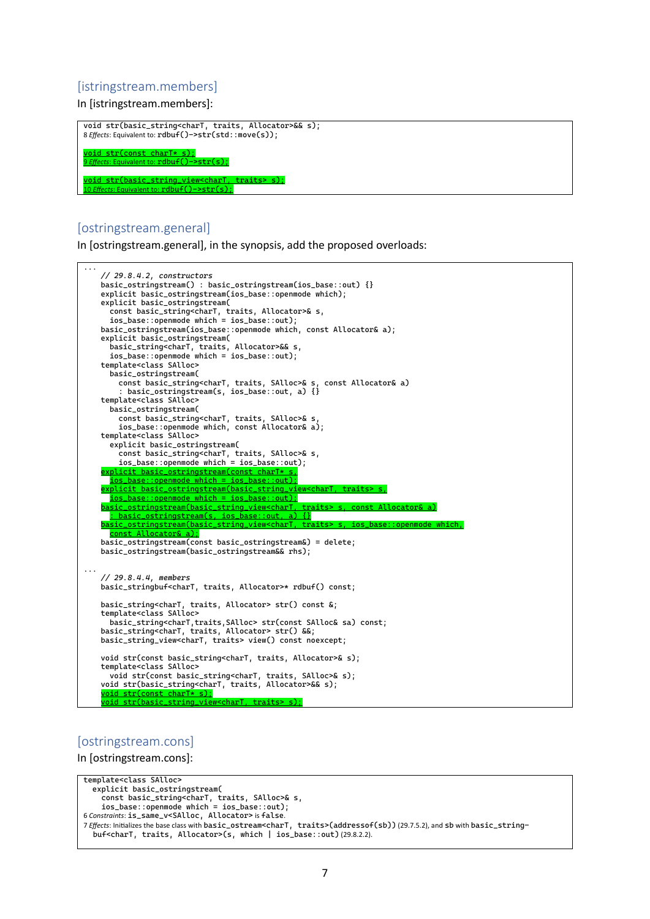#### [istringstream.members]

In [istringstream.members]:

void str(basic\_string<charT, traits, Allocator>&& s); 8 *Effects*: Equivalent to: rdbuf()->str(std::move(s)); oid str(const charT\* s); **Pint to: rdbuf()->str(s);** oid str(basic\_string\_view<charT, traits> s); 10 *Effects*: Equivalent to: rdbuf()->str(s);

## [ostringstream.general]

In [ostringstream.general], in the synopsis, add the proposed overloads:



#### [ostringstream.cons]

In [ostringstream.cons]:

```
template<class SAlloc>
   explicit basic_ostringstream(
 const basic_string<charT, traits, SAlloc>& s,
 ios_base::openmode which = ios_base::out);
6 Constraints: is_same_v<SAlloc, Allocator> is false.
7 Effects: Initializes the base class with basic_ostream<charT, traits>(addressof(sb)) (29.7.5.2), and sb with basic_string-
  buf<charT, traits, Allocator>(s, which | ios_base::out) (29.8.2.2).
```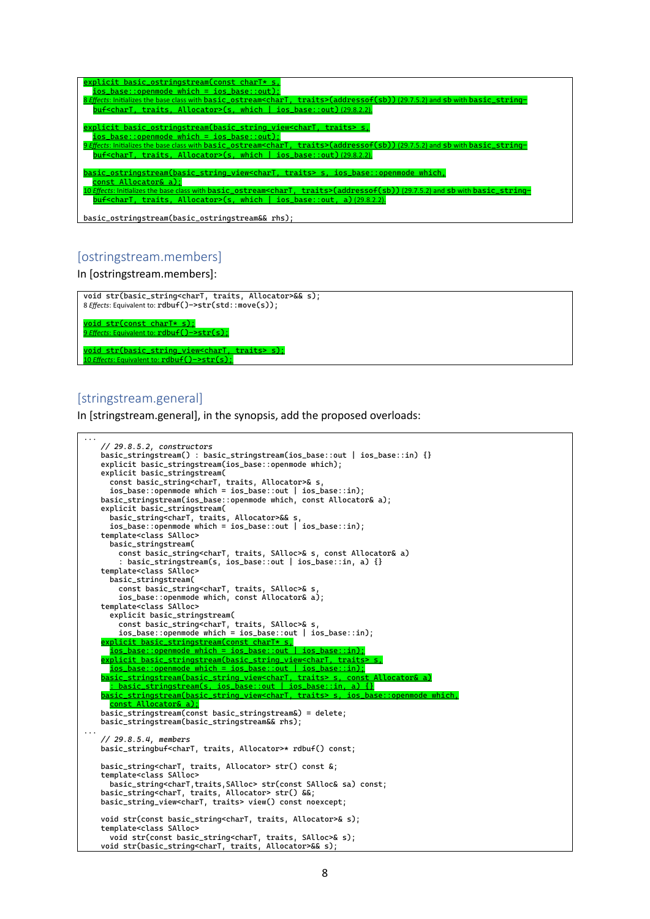| explicit basic_ostringstream(const charT* s,<br>$ios\_base::openmode which = iso\_base::out$ ;<br>traits>(addressof(sb))(29.7.5.2) and sb with basic_string-<br>8 Effects: Initializes the base class with basic_ostream <chart,<br><math>buf</math> -chart, traits, Allocator&gt;(s, which   ios_base::out) (29.8.2.2).</chart,<br>                                                 |
|--------------------------------------------------------------------------------------------------------------------------------------------------------------------------------------------------------------------------------------------------------------------------------------------------------------------------------------------------------------------------------------|
| explicit basic_ostringstream(basic_string_view <chart, traits=""> s,<br/><math>ios\_base::openmode which = iso\_base::out</math>;<br/>9 Effects: Initializes the base class with basic_ostream<chart, traits="">(addressof(sb))(29.7.5.2) and sb with basic_string-<br/><math>buf&lt;</math>charT, traits, Allocator&gt;(s, which   ios_base::out) (29.8.2.2).</chart,></chart,>     |
| basic_ostringstream(basic_string_view <chart, traits=""> s, ios_base::openmode which,<br/>const Allocator&amp; a):<br/>10 <i>Effects</i>: Initializes the base class with basic_ostream<chart, traits="">(addressof(sb))(29.7.5.2) and sb with basic_string-<br/><math>buf</math><chart, allocator="" traits,="">(s, which   ios_base::out, a)(29.8.2.2).</chart,></chart,></chart,> |
| basic_ostringstream(basic_ostringstream&& rhs);                                                                                                                                                                                                                                                                                                                                      |

#### [ostringstream.members]

In [ostringstream.members]:



#### [stringstream.general]

In [stringstream.general], in the synopsis, add the proposed overloads:

```
...
    // 29.8.5.2, constructors
   basic_stringstream() : basic_stringstream(ios_base::out | ios_base::in) {}
   explicit basic_stringstream(ios_base::openmode which);
   explicit basic_stringstream(
    const basic_string<charT, traits, Allocator>& s,
    ios_base::openmode which = ios_base::out | ios_base::in);
   basic_stringstream(ios_base::openmode which, const Allocator& a);
   explicit basic_stringstream(
      basic_string<charT, traits, Allocator>&& s,
      ios_base::openmode which = ios_base::out | ios_base::in);
   template<class SAlloc>
      basic_stringstream(
        const basic_string<charT, traits, SAlloc>& s, const Allocator& a)
         : basic_stringstream(s, ios_base::out | ios_base::in, a) {}
   template<class SAlloc>
      basic_stringstream(
        const basic_string<charT, traits, SAlloc>& s,
    ios_base::openmode which, const Allocator& a);
   template<class SAlloc>
      explicit basic_stringstream(
        const basic_string<charT, traits, SAlloc>& s,
        ios_base::openmode which = ios_base::out | ios_base::in);
   explicit basic_stringstream(const charT* s,
    ios_base::openmode which = ios_base::out | ios_base::in);
   explicit basic_stringstream(basic_string_view<charT, traits> s,
   {\tt iso\_base::openmode} which = ios_base::out | ios_base::in);
   basic_stringstream(basic_string_view<charT, traits> s, const Allocator& a)
    : basic_stringstream(s, ios_base::out | ios_base::in, a) {}
   basic_stringstream(basic_string_view<charT, traits> s, ios_base::openmode which,
      const Allocator& a);
   basic_stringstream(const basic_stringstream&) = delete;
   basic_stringstream(basic_stringstream&& rhs);
...
   // 29.8.5.4, members
   basic_stringbuf<charT, traits, Allocator>* rdbuf() const;
   basic_string<charT, traits, Allocator> str() const &;
   template<class SAlloc>
      basic_string<charT,traits,SAlloc> str(const SAlloc& sa) const;
   basic_string<charT, traits, Allocator> str() &&;
   basic_string_view<charT, traits> view() const noexcept;
   void str(const basic_string<charT, traits, Allocator>& s);
   template<class SAlloc>
      void str(const basic_string<charT, traits, SAlloc>& s);
   void str(basic_string<charT, traits, Allocator>&& s);
```